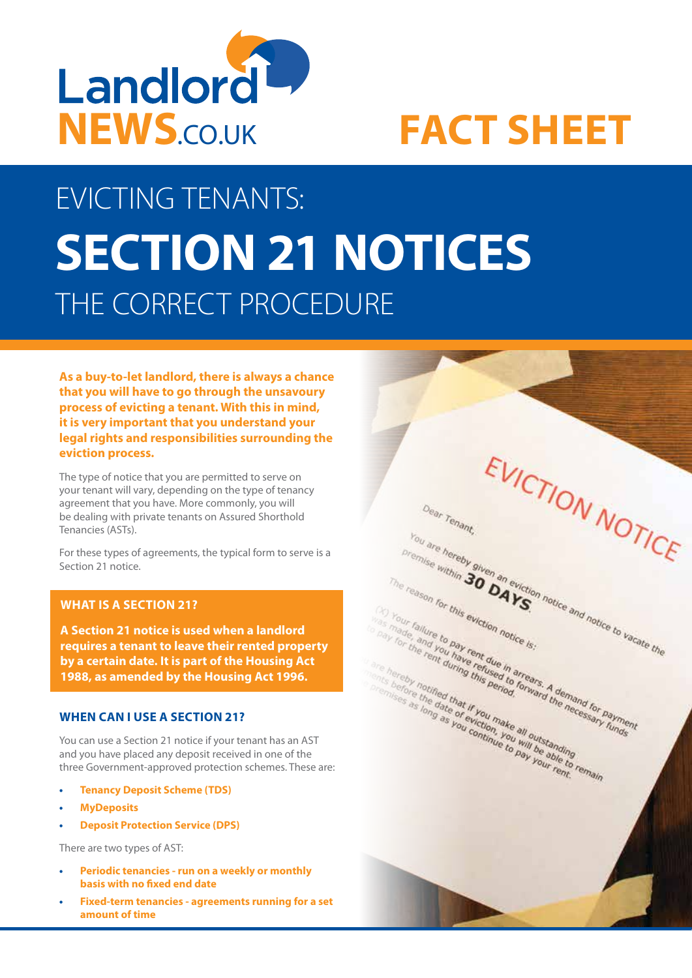

# EVICTING TENANTS: **SECTION 21 NOTICES** THE CORRECT PROCEDURE

**As a buy-to-let landlord, there is always a chance that you will have to go through the unsavoury process of evicting a tenant. With this in mind, it is very important that you understand your legal rights and responsibilities surrounding the eviction process.** 

The type of notice that you are permitted to serve on your tenant will vary, depending on the type of tenancy agreement that you have. More commonly, you will be dealing with private tenants on Assured Shorthold Tenancies (ASTs).

For these types of agreements, the typical form to serve is a Section 21 notice.

## **WHAT IS A SECTION 21?**

**A Section 21 notice is used when a landlord requires a tenant to leave their rented property by a certain date. It is part of the Housing Act 1988, as amended by the Housing Act 1996.**

### **WHEN CAN I USE A SECTION 21?**

You can use a Section 21 notice if your tenant has an AST and you have placed any deposit received in one of the three Government-approved protection schemes. These are:

- **• Tenancy Deposit Scheme (TDS)**
- **• MyDeposits**
- **• Deposit Protection Service (DPS)**

There are two types of AST:

- **• Periodic tenancies run on a weekly or monthly basis with no fixed end date**
- **• Fixed-term tenancies agreements running for a set amount of time**